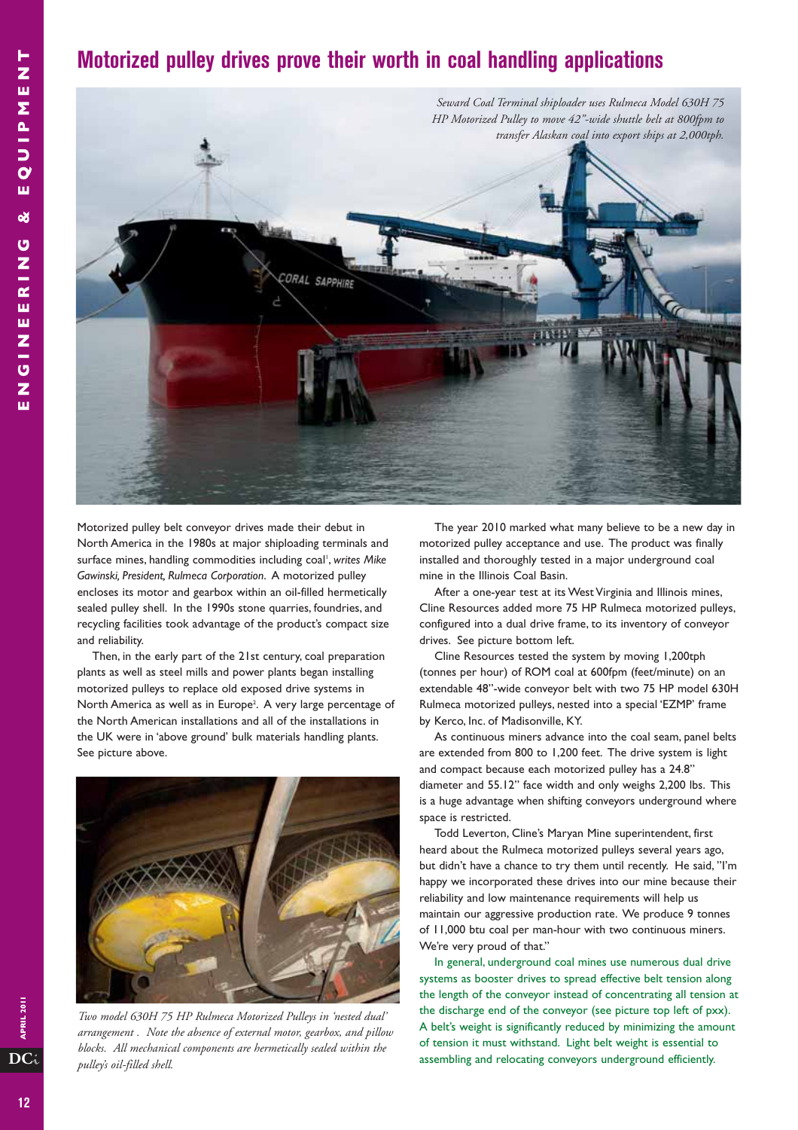## **Motorized pulley drives prove their worth in coal handling applications**



Motorized pulley belt conveyor drives made their debut in North America in the 1980s at major shiploading terminals and surface mines, handling commodities including coal', *writes Mike Gawinski, President, Rulmeca Corporation*. A motorized pulley encloses its motor and gearbox within an oil-filled hermetically sealed pulley shell. In the 1990s stone quarries, foundries, and recycling facilities took advantage of the product's compact size and reliability.

Then, in the early part of the 21st century, coal preparation plants as well as steel mills and power plants began installing motorized pulleys to replace old exposed drive systems in North America as well as in Europe<sup>2</sup>. A very large percentage of the North American installations and all of the installations in the UK were in 'above ground' bulk materials handling plants. See picture above.



*Two model 630H 75 HP Rulmeca Motorized Pulleys in 'nested dual' arrangement . Note the absence of external motor, gearbox, and pillow blocks. All mechanical components are hermetically sealed within the pulley's oil-filled shell.* 

The year 2010 marked what many believe to be a new day in motorized pulley acceptance and use. The product was finally installed and thoroughly tested in a major underground coal mine in the Illinois Coal Basin.

After a one-year test at its West Virginia and Illinois mines, Cline Resources added more 75 HP Rulmeca motorized pulleys, configured into a dual drive frame, to its inventory of conveyor drives. See picture bottom left.

Cline Resources tested the system by moving 1,200tph (tonnes per hour) of ROM coal at 600fpm (feet/minute) on an extendable 48"-wide conveyor belt with two 75 HP model 630H Rulmeca motorized pulleys, nested into a special 'EZMP' frame by Kerco, Inc. of Madisonville, KY.

As continuous miners advance into the coal seam, panel belts are extended from 800 to 1,200 feet. The drive system is light and compact because each motorized pulley has a 24.8" diameter and 55.12" face width and only weighs 2,200 lbs. This is a huge advantage when shifting conveyors underground where space is restricted.

Todd Leverton, Cline's Maryan Mine superintendent, first heard about the Rulmeca motorized pulleys several years ago, but didn't have a chance to try them until recently. He said, "I'm happy we incorporated these drives into our mine because their reliability and low maintenance requirements will help us maintain our aggressive production rate. We produce 9 tonnes of 11,000 btu coal per man-hour with two continuous miners. We're very proud of that."

In general, underground coal mines use numerous dual drive systems as booster drives to spread effective belt tension along the length of the conveyor instead of concentrating all tension at the discharge end of the conveyor (see picture top left of pxx). A belt's weight is significantly reduced by minimizing the amount of tension it must withstand. Light belt weight is essential to assembling and relocating conveyors underground efficiently.

**DC**i

APRIL 2011